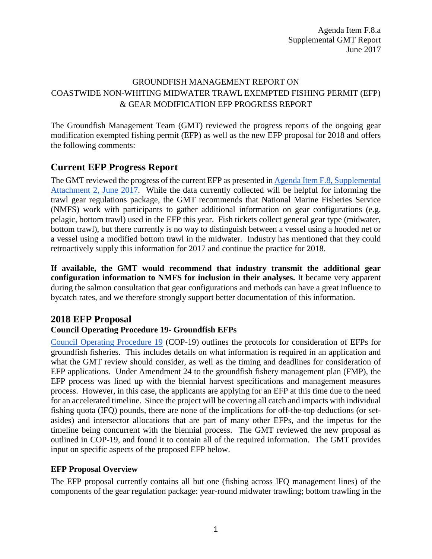Agenda Item F.8.a Supplemental GMT Report June 2017

# GROUNDFISH MANAGEMENT REPORT ON COASTWIDE NON-WHITING MIDWATER TRAWL EXEMPTED FISHING PERMIT (EFP) & GEAR MODIFICATION EFP PROGRESS REPORT

The Groundfish Management Team (GMT) reviewed the progress reports of the ongoing gear modification exempted fishing permit (EFP) as well as the new EFP proposal for 2018 and offers the following comments:

# **Current EFP Progress Report**

The GMT reviewed the progress of the current EFP as presented in [Agenda Item F.8, Supplemental](http://www.pcouncil.org/wp-content/uploads/2017/06/F8_Sup_Att2_Gear_EFP_ProgRpt_Jun2017BB.pdf)  [Attachment 2, June 2017.](http://www.pcouncil.org/wp-content/uploads/2017/06/F8_Sup_Att2_Gear_EFP_ProgRpt_Jun2017BB.pdf) While the data currently collected will be helpful for informing the trawl gear regulations package, the GMT recommends that National Marine Fisheries Service (NMFS) work with participants to gather additional information on gear configurations (e.g. pelagic, bottom trawl) used in the EFP this year. Fish tickets collect general gear type (midwater, bottom trawl), but there currently is no way to distinguish between a vessel using a hooded net or a vessel using a modified bottom trawl in the midwater. Industry has mentioned that they could retroactively supply this information for 2017 and continue the practice for 2018.

**If available, the GMT would recommend that industry transmit the additional gear configuration information to NMFS for inclusion in their analyses.** It became very apparent during the salmon consultation that gear configurations and methods can have a great influence to bycatch rates, and we therefore strongly support better documentation of this information.

## **2018 EFP Proposal**

## **Council Operating Procedure 19- Groundfish EFPs**

[Council Operating Procedure 19](http://www.pcouncil.org/wp-content/uploads/cop19.pdf) (COP-19) outlines the protocols for consideration of EFPs for groundfish fisheries. This includes details on what information is required in an application and what the GMT review should consider, as well as the timing and deadlines for consideration of EFP applications. Under Amendment 24 to the groundfish fishery management plan (FMP), the EFP process was lined up with the biennial harvest specifications and management measures process. However, in this case, the applicants are applying for an EFP at this time due to the need for an accelerated timeline. Since the project will be covering all catch and impacts with individual fishing quota (IFQ) pounds, there are none of the implications for off-the-top deductions (or setasides) and intersector allocations that are part of many other EFPs, and the impetus for the timeline being concurrent with the biennial process. The GMT reviewed the new proposal as outlined in COP-19, and found it to contain all of the required information. The GMT provides input on specific aspects of the proposed EFP below.

## **EFP Proposal Overview**

The EFP proposal currently contains all but one (fishing across IFQ management lines) of the components of the gear regulation package: year-round midwater trawling; bottom trawling in the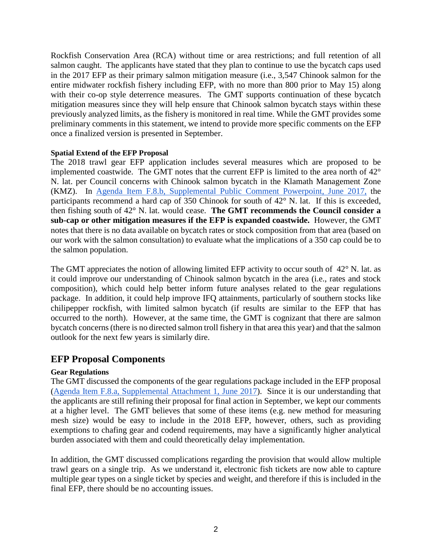Rockfish Conservation Area (RCA) without time or area restrictions; and full retention of all salmon caught. The applicants have stated that they plan to continue to use the bycatch caps used in the 2017 EFP as their primary salmon mitigation measure (i.e., 3,547 Chinook salmon for the entire midwater rockfish fishery including EFP, with no more than 800 prior to May 15) along with their co-op style deterrence measures. The GMT supports continuation of these bycatch mitigation measures since they will help ensure that Chinook salmon bycatch stays within these previously analyzed limits, as the fishery is monitored in real time. While the GMT provides some preliminary comments in this statement, we intend to provide more specific comments on the EFP once a finalized version is presented in September.

#### **Spatial Extend of the EFP Proposal**

The 2018 trawl gear EFP application includes several measures which are proposed to be implemented coastwide. The GMT notes that the current EFP is limited to the area north of 42° N. lat. per Council concerns with Chinook salmon bycatch in the Klamath Management Zone (KMZ). In [Agenda Item F.8.b, Supplemental Public Comment Powerpoint, June 2017,](http://www.pcouncil.org/wp-content/uploads/2017/06/F8b_Sup_PubComPPT_EFPprogressRpt_Jun2017BB.pdf) the participants recommend a hard cap of 350 Chinook for south of 42° N. lat. If this is exceeded, then fishing south of 42° N. lat. would cease. **The GMT recommends the Council consider a sub-cap or other mitigation measures if the EFP is expanded coastwide.** However, the GMT notes that there is no data available on bycatch rates or stock composition from that area (based on our work with the salmon consultation) to evaluate what the implications of a 350 cap could be to the salmon population.

The GMT appreciates the notion of allowing limited EFP activity to occur south of  $42^{\circ}$  N. lat. as it could improve our understanding of Chinook salmon bycatch in the area (i.e., rates and stock composition), which could help better inform future analyses related to the gear regulations package. In addition, it could help improve IFQ attainments, particularly of southern stocks like chilipepper rockfish, with limited salmon bycatch (if results are similar to the EFP that has occurred to the north). However, at the same time, the GMT is cognizant that there are salmon bycatch concerns (there is no directed salmon troll fishery in that area this year) and that the salmon outlook for the next few years is similarly dire.

## **EFP Proposal Components**

#### **Gear Regulations**

The GMT discussed the components of the gear regulations package included in the EFP proposal [\(Agenda Item F.8.a, Supplemental Attachment 1, June 2017\)](http://www.pcouncil.org/wp-content/uploads/2017/06/F8_Sup_Att1_MWT_EFP_ProgRep_Jun2017BB.pdf). Since it is our understanding that the applicants are still refining their proposal for final action in September, we kept our comments at a higher level. The GMT believes that some of these items (e.g. new method for measuring mesh size) would be easy to include in the 2018 EFP, however, others, such as providing exemptions to chafing gear and codend requirements, may have a significantly higher analytical burden associated with them and could theoretically delay implementation.

In addition, the GMT discussed complications regarding the provision that would allow multiple trawl gears on a single trip. As we understand it, electronic fish tickets are now able to capture multiple gear types on a single ticket by species and weight, and therefore if this is included in the final EFP, there should be no accounting issues.